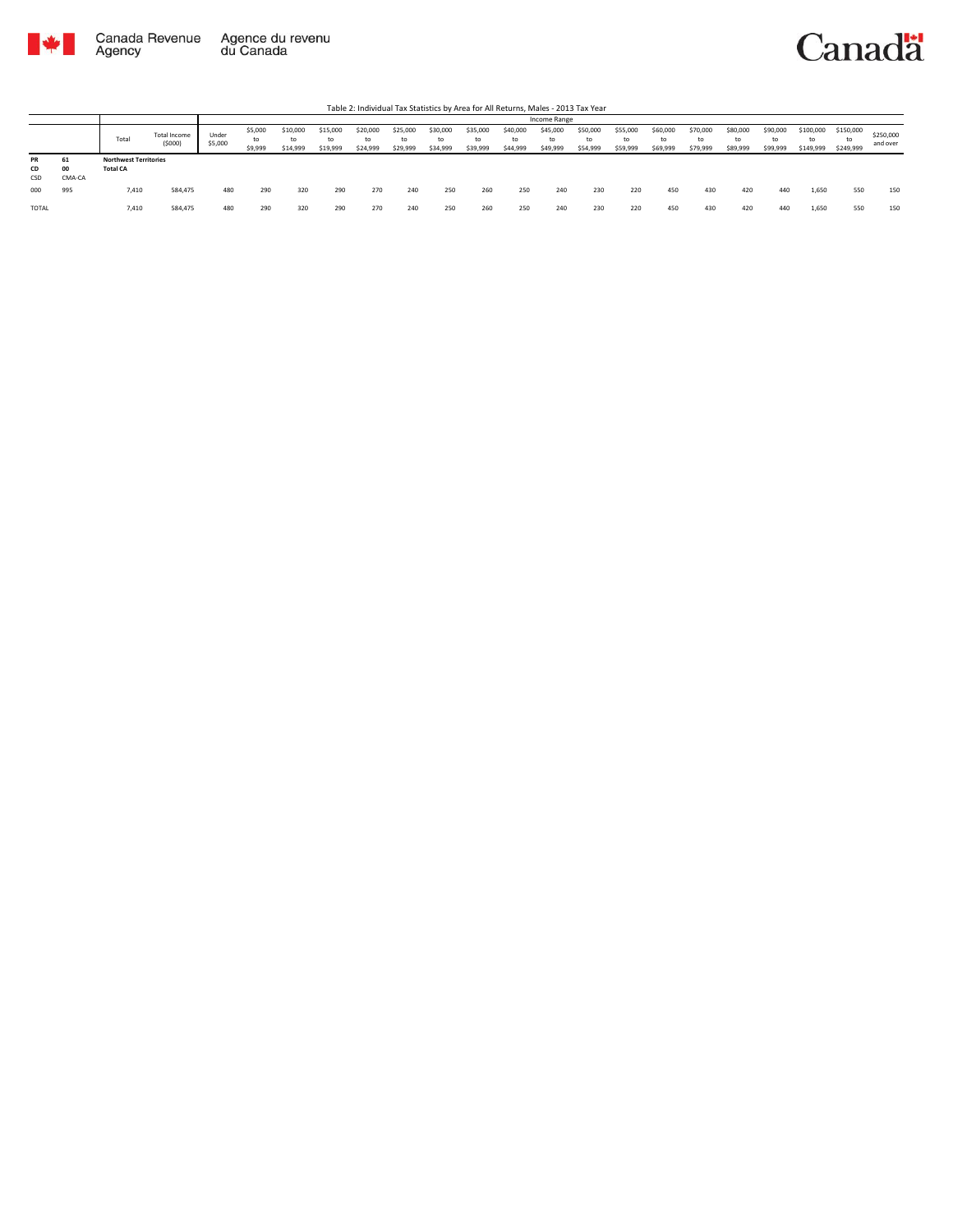



|                 |              |                                                 |                        |                  |                          |                            |                      |                      |                            |                            |                            |                      | Income Range               |                            |                            |                            |                            |                            |                            |                              |                              |                       |
|-----------------|--------------|-------------------------------------------------|------------------------|------------------|--------------------------|----------------------------|----------------------|----------------------|----------------------------|----------------------------|----------------------------|----------------------|----------------------------|----------------------------|----------------------------|----------------------------|----------------------------|----------------------------|----------------------------|------------------------------|------------------------------|-----------------------|
|                 |              | Total                                           | Total Income<br>(5000) | Under<br>\$5,000 | \$5,000<br>to<br>\$9,999 | \$10,000<br>to<br>\$14,999 | \$15,000<br>\$19,999 | \$20,000<br>\$24,999 | \$25,000<br>to<br>\$29,999 | \$30,000<br>to<br>\$34,999 | \$35,000<br>to<br>\$39,999 | \$40,000<br>\$44,999 | \$45,000<br>to<br>\$49,999 | \$50,000<br>to<br>\$54,999 | \$55,000<br>to<br>\$59,999 | \$60,000<br>to<br>\$69,999 | \$70,000<br>to<br>\$79,999 | \$80,000<br>to<br>\$89,999 | \$90,000<br>to<br>\$99,999 | \$100,000<br>to<br>\$149,999 | \$150,000<br>to<br>\$249,999 | \$250,000<br>and over |
| PR<br>CD<br>CSD | 00<br>CMA-CA | <b>Northwest Territories</b><br><b>Total CA</b> |                        |                  |                          |                            |                      |                      |                            |                            |                            |                      |                            |                            |                            |                            |                            |                            |                            |                              |                              |                       |
| 000             | 995          | 7,410                                           | 584,475                | 480              | 290                      | 320                        | 290                  | 270                  | 240                        | 250                        | 260                        | 250                  | 240                        | 230                        | 220                        | 450                        | 430                        | 420                        | 440                        | 1,650                        | 550                          | 150                   |
| TOTAL           |              | 7,410                                           | 584,475                | 480              | 290                      | 320                        | 290                  | 270                  | 240                        | 250                        | 260                        | 250                  | 240                        | 230                        | 220                        | 450                        | 430                        | 420                        | 440                        | 1,650                        | 550                          | 150                   |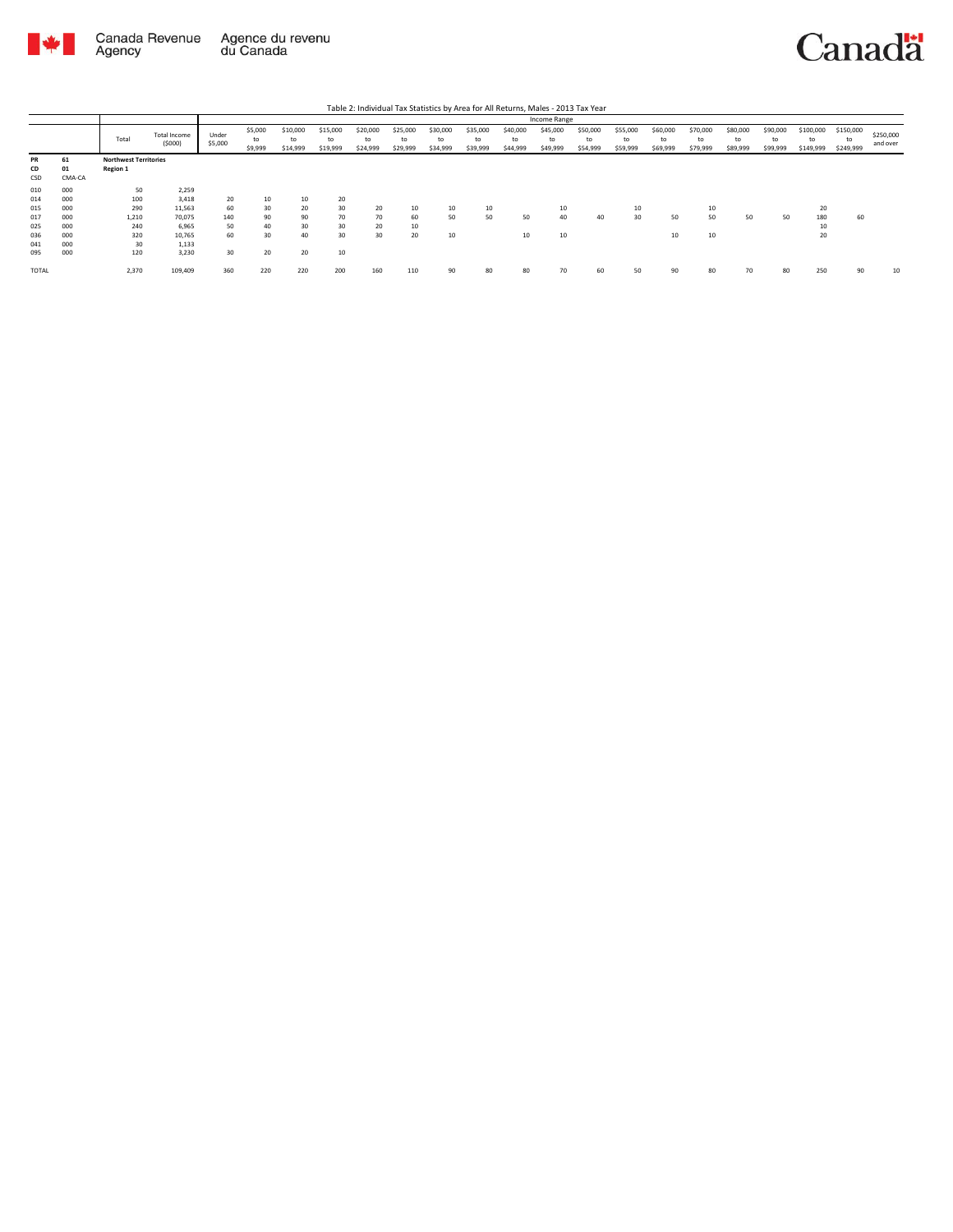

|              |        |                              |                        |                  |                          |                            |                            |                            |                            |                            |                            |                            | Income Range               |                            |                            |                            |                            |                            |                            |                              |                              |                       |
|--------------|--------|------------------------------|------------------------|------------------|--------------------------|----------------------------|----------------------------|----------------------------|----------------------------|----------------------------|----------------------------|----------------------------|----------------------------|----------------------------|----------------------------|----------------------------|----------------------------|----------------------------|----------------------------|------------------------------|------------------------------|-----------------------|
|              |        | Total                        | Total Income<br>(5000) | Under<br>\$5,000 | \$5,000<br>to<br>\$9,999 | \$10,000<br>to<br>\$14,999 | \$15,000<br>to<br>\$19,999 | \$20,000<br>to<br>\$24,999 | \$25,000<br>to<br>\$29,999 | \$30,000<br>to<br>\$34,999 | \$35,000<br>to<br>\$39,999 | \$40,000<br>to<br>\$44,999 | \$45,000<br>to<br>\$49,999 | \$50,000<br>to<br>\$54,999 | \$55,000<br>to<br>\$59,999 | \$60,000<br>to<br>\$69,999 | \$70,000<br>to<br>\$79,999 | \$80,000<br>to<br>\$89,999 | \$90,000<br>to<br>\$99,999 | \$100,000<br>to<br>\$149,999 | \$150,000<br>to<br>\$249,999 | \$250,000<br>and over |
| PR           | 61     | <b>Northwest Territories</b> |                        |                  |                          |                            |                            |                            |                            |                            |                            |                            |                            |                            |                            |                            |                            |                            |                            |                              |                              |                       |
| CD           | 01     | <b>Region 1</b>              |                        |                  |                          |                            |                            |                            |                            |                            |                            |                            |                            |                            |                            |                            |                            |                            |                            |                              |                              |                       |
| CSD          | CMA-CA |                              |                        |                  |                          |                            |                            |                            |                            |                            |                            |                            |                            |                            |                            |                            |                            |                            |                            |                              |                              |                       |
| 010          | 000    | 50                           | 2,259                  |                  |                          |                            |                            |                            |                            |                            |                            |                            |                            |                            |                            |                            |                            |                            |                            |                              |                              |                       |
| 014          | 000    | 100                          | 3,418                  | 20               | 10                       | 10                         | 20                         |                            |                            |                            |                            |                            |                            |                            |                            |                            |                            |                            |                            |                              |                              |                       |
| 015          | 000    | 290                          | 11,563                 | 60               | 30                       | 20                         | 30                         | 20                         | 10                         | 10                         | 10                         |                            | 10                         |                            | 10                         |                            | τU                         |                            |                            | 20                           |                              |                       |
| 017          | 000    | 1,210                        | 70,075                 | 140              | 90                       | 90                         | 70                         | 70                         | 60                         | 50                         | 50                         | 50                         | 40                         | 40                         | 30                         | 50                         | 50                         | 50                         | 50                         | 180                          | 60                           |                       |
| 025          | 000    | 240                          | 6,965                  | 50               | 40                       | 30                         | 30                         | 20                         | 10                         |                            |                            |                            |                            |                            |                            |                            |                            |                            |                            | 10                           |                              |                       |
| 036          | 000    | 320                          | 10,765                 | 60               | 30                       | 40                         | 30                         | 30                         | 20                         | 10                         |                            | 10                         | 10                         |                            |                            | 10                         | 10                         |                            |                            | 20                           |                              |                       |
| 041          | 000    | 30                           | 1,133                  |                  |                          |                            |                            |                            |                            |                            |                            |                            |                            |                            |                            |                            |                            |                            |                            |                              |                              |                       |
| 095          | 000    | 120                          | 3,230                  | 30               | 20                       | 20                         | 10                         |                            |                            |                            |                            |                            |                            |                            |                            |                            |                            |                            |                            |                              |                              |                       |
| <b>TOTAL</b> |        | 2,370                        | 109,409                | 360              | 220                      | 220                        | 200                        | 160                        | 110                        | 90                         | 80                         | 80                         | 70                         | 60                         | 50                         | 90                         | 80                         | 70                         | 80                         | 250                          | 90                           | 10                    |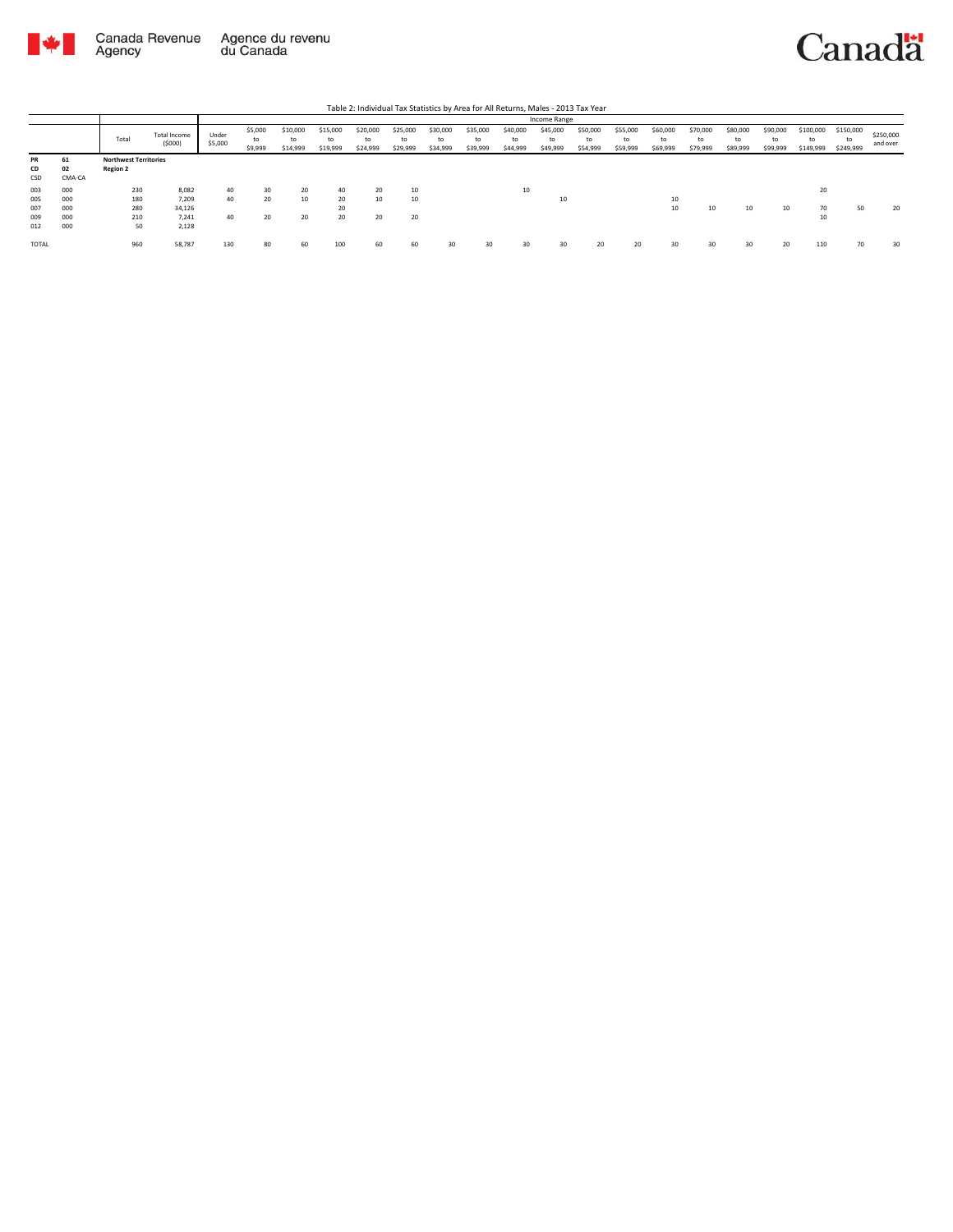

## Canadä

|           |        |                              |                        |                  |                          |                            |                            |                            |                            |                            |                            |                            | Income Range               |                            |                            |                            |                            |                            |                            |                              |                              |                       |
|-----------|--------|------------------------------|------------------------|------------------|--------------------------|----------------------------|----------------------------|----------------------------|----------------------------|----------------------------|----------------------------|----------------------------|----------------------------|----------------------------|----------------------------|----------------------------|----------------------------|----------------------------|----------------------------|------------------------------|------------------------------|-----------------------|
|           |        | Total                        | Total Income<br>(5000) | Under<br>\$5,000 | \$5,000<br>to<br>\$9,999 | \$10,000<br>to<br>\$14,999 | \$15,000<br>to<br>\$19,999 | \$20,000<br>to<br>\$24,999 | \$25,000<br>to<br>\$29,999 | \$30,000<br>to<br>\$34,999 | \$35,000<br>to<br>\$39,999 | \$40,000<br>to<br>\$44,999 | \$45,000<br>to<br>\$49,999 | \$50,000<br>to<br>\$54,999 | \$55,000<br>to<br>\$59,999 | \$60,000<br>to<br>\$69,999 | \$70,000<br>to<br>\$79,999 | \$80,000<br>to<br>\$89,999 | \$90,000<br>to<br>\$99,999 | \$100,000<br>to<br>\$149,999 | \$150,000<br>to<br>\$249,999 | \$250,000<br>and over |
| <b>PR</b> | 61     | <b>Northwest Territories</b> |                        |                  |                          |                            |                            |                            |                            |                            |                            |                            |                            |                            |                            |                            |                            |                            |                            |                              |                              |                       |
| CD        | 02     | <b>Region 2</b>              |                        |                  |                          |                            |                            |                            |                            |                            |                            |                            |                            |                            |                            |                            |                            |                            |                            |                              |                              |                       |
| CSD       | CMA-CA |                              |                        |                  |                          |                            |                            |                            |                            |                            |                            |                            |                            |                            |                            |                            |                            |                            |                            |                              |                              |                       |
| 003       | 000    | 230                          | 8.082                  | 40               | 30                       | 20                         | 40                         | 20                         | 10                         |                            |                            | 10                         |                            |                            |                            |                            |                            |                            |                            | 20                           |                              |                       |
| 005       | 000    | 180                          | 7.209                  | 40               | 20                       | 10                         | 20                         | 10                         | 10                         |                            |                            |                            | 10                         |                            |                            | 10                         |                            |                            |                            |                              |                              |                       |
| 007       | 000    | 280                          | 34.126                 |                  |                          |                            | 20                         |                            |                            |                            |                            |                            |                            |                            |                            | 10                         | 10                         | 10                         | 10                         | 70                           | 50                           | 20                    |
| 009       | 000    | 210                          | 7.241                  | 40               | 20                       | 20                         | 20                         | 20                         | 20                         |                            |                            |                            |                            |                            |                            |                            |                            |                            |                            | 10                           |                              |                       |
| 012       | 000    | 50                           | 2.128                  |                  |                          |                            |                            |                            |                            |                            |                            |                            |                            |                            |                            |                            |                            |                            |                            |                              |                              |                       |
| TOTAL     |        | 960                          | 58,787                 | 130              | 80                       | 60                         | 100                        | 60                         | 60                         | 30                         | 30                         | 30                         | 30                         | 20                         | 20                         | 30                         | 30                         | 30                         | 20                         | 110                          | 70                           | 30                    |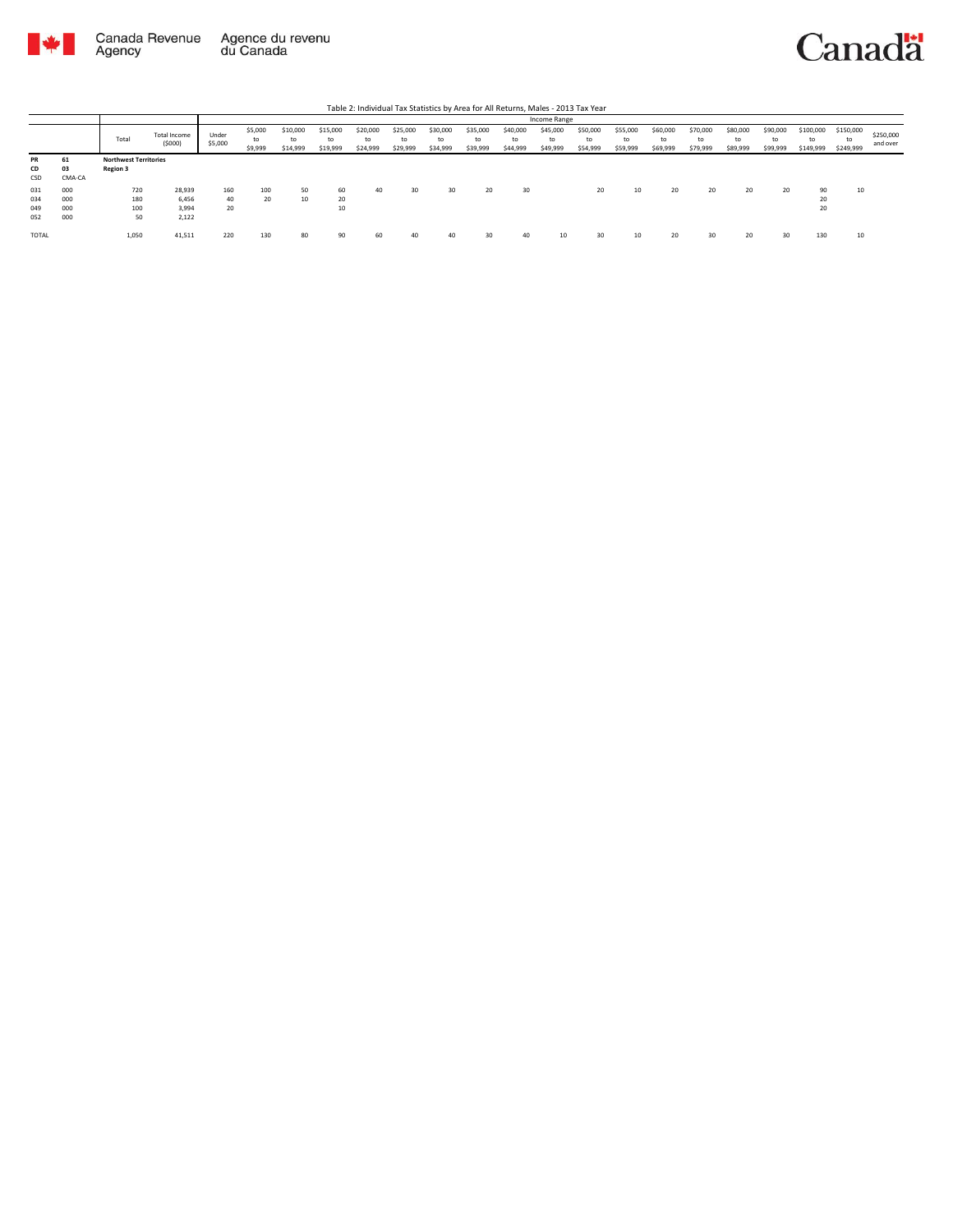

Canadä

|                          |                          |                                                 |                                   |                  |                          |                            |                            |                            |                            |                            |                            |                            | Income Range               |                            |                            |                            |                            |                            |                            |                              |                              |                       |
|--------------------------|--------------------------|-------------------------------------------------|-----------------------------------|------------------|--------------------------|----------------------------|----------------------------|----------------------------|----------------------------|----------------------------|----------------------------|----------------------------|----------------------------|----------------------------|----------------------------|----------------------------|----------------------------|----------------------------|----------------------------|------------------------------|------------------------------|-----------------------|
|                          |                          | Total                                           | Total Income<br>(5000)            | Under<br>\$5,000 | \$5,000<br>to<br>\$9,999 | \$10,000<br>to<br>\$14,999 | \$15,000<br>to<br>\$19,999 | \$20,000<br>to<br>\$24,999 | \$25,000<br>to<br>\$29,999 | \$30,000<br>to<br>\$34,999 | \$35,000<br>to<br>\$39,999 | \$40,000<br>to<br>\$44,999 | \$45,000<br>to<br>\$49,999 | \$50,000<br>to<br>\$54,999 | \$55,000<br>to<br>\$59,999 | \$60,000<br>to<br>\$69,999 | \$70,000<br>to<br>\$79,999 | \$80,000<br>to<br>\$89,999 | \$90,000<br>to<br>\$99,999 | \$100,000<br>to<br>\$149,999 | \$150,000<br>to<br>\$249,999 | \$250,000<br>and over |
| <b>PR</b><br>CD<br>CSD   | 61<br>03<br>CMA-CA       | <b>Northwest Territories</b><br><b>Region 3</b> |                                   |                  |                          |                            |                            |                            |                            |                            |                            |                            |                            |                            |                            |                            |                            |                            |                            |                              |                              |                       |
| 031<br>034<br>049<br>052 | 000<br>000<br>000<br>000 | 720<br>180<br>100<br>50                         | 28,939<br>6.456<br>3.994<br>2,122 | 160<br>40<br>20  | 100<br>20                | 50<br>10                   | 60<br>20<br>10             | 40                         | 30                         | 30                         | 20                         | 30                         |                            | 20                         | 10                         | 20                         | 20                         | 20                         | 20                         | 90<br>20<br>20               | 10                           |                       |
| <b>TOTAL</b>             |                          | 1,050                                           | 41,511                            | 220              | 130                      | 80                         | 90                         | 60                         | 40                         | 40                         |                            | 40                         | 10                         | 30                         | 10                         | 20                         | 30                         | 20                         | 30                         | 130                          | 10                           |                       |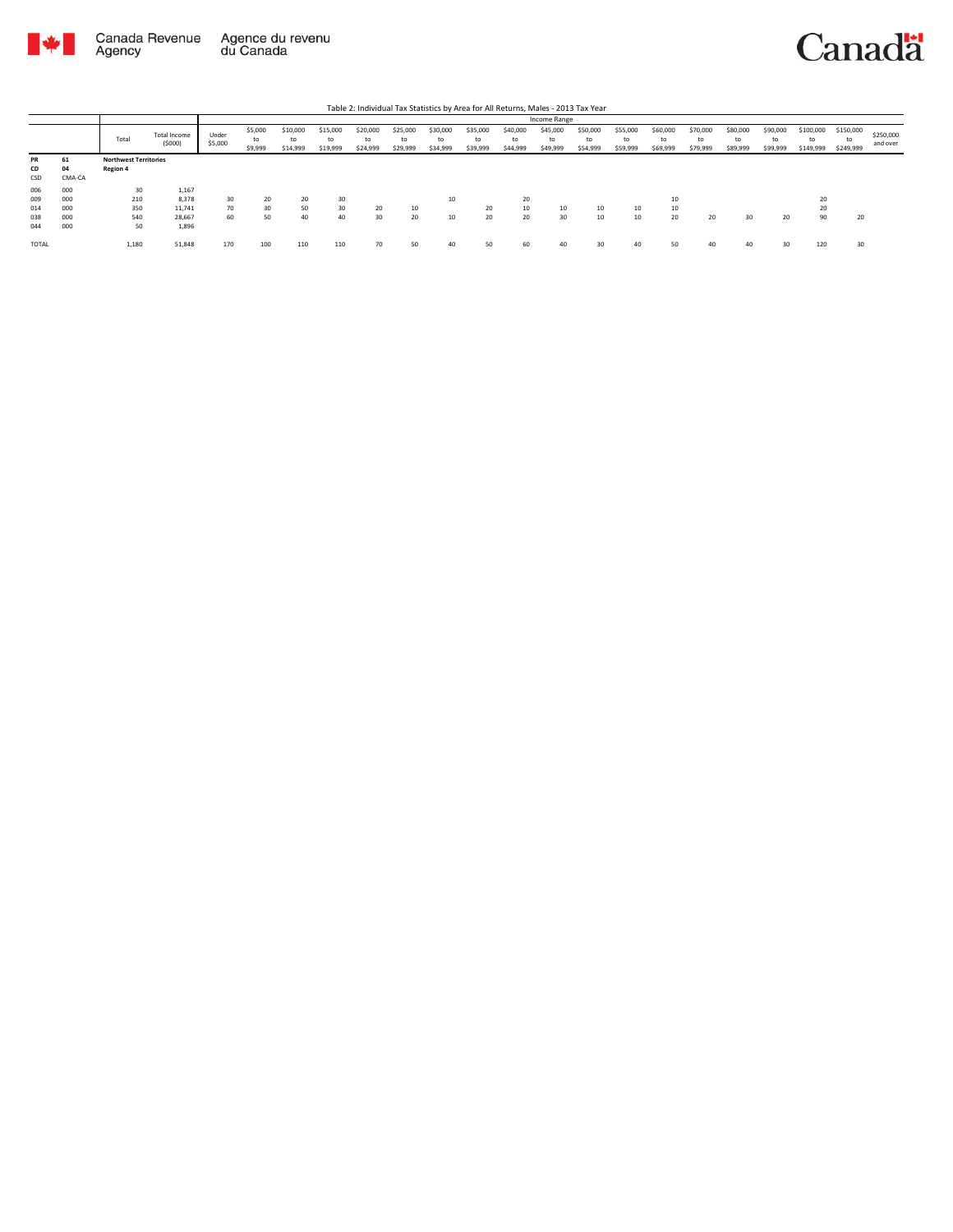



|       |        |                              |                        |                  |                          |                            |                            |                            |                            |                            |                            |                            | Income Range               |                            |                            |                            |                            |                            |                            |                              |                              |                       |
|-------|--------|------------------------------|------------------------|------------------|--------------------------|----------------------------|----------------------------|----------------------------|----------------------------|----------------------------|----------------------------|----------------------------|----------------------------|----------------------------|----------------------------|----------------------------|----------------------------|----------------------------|----------------------------|------------------------------|------------------------------|-----------------------|
|       |        | Total                        | Total Income<br>(5000) | Under<br>\$5,000 | \$5,000<br>to<br>\$9,999 | \$10,000<br>to<br>\$14,999 | \$15,000<br>to<br>\$19,999 | \$20,000<br>to<br>\$24,999 | \$25,000<br>to<br>\$29,999 | \$30,000<br>tc<br>\$34,999 | \$35,000<br>to<br>\$39,999 | \$40,000<br>to<br>\$44,999 | \$45,000<br>to<br>\$49,999 | \$50,000<br>to<br>\$54,999 | \$55,000<br>to<br>\$59,999 | \$60,000<br>to<br>\$69,999 | \$70,000<br>to<br>\$79,999 | \$80,000<br>to<br>\$89,999 | \$90,000<br>to<br>\$99,999 | \$100,000<br>to<br>\$149,999 | \$150,000<br>to<br>\$249,999 | \$250,000<br>and over |
| PR    | 61     | <b>Northwest Territories</b> |                        |                  |                          |                            |                            |                            |                            |                            |                            |                            |                            |                            |                            |                            |                            |                            |                            |                              |                              |                       |
| CD    | 04     | Region 4                     |                        |                  |                          |                            |                            |                            |                            |                            |                            |                            |                            |                            |                            |                            |                            |                            |                            |                              |                              |                       |
| CSD   | CMA-CA |                              |                        |                  |                          |                            |                            |                            |                            |                            |                            |                            |                            |                            |                            |                            |                            |                            |                            |                              |                              |                       |
| 006   | 000    | 30                           | 1,167                  |                  |                          |                            |                            |                            |                            |                            |                            |                            |                            |                            |                            |                            |                            |                            |                            |                              |                              |                       |
| 009   | 000    | 210                          | 8,378                  | 30               | 20                       | 20                         | 30                         |                            |                            | 10                         |                            | 20                         |                            |                            |                            |                            |                            |                            |                            | 20                           |                              |                       |
| 014   | 000    | 350                          | 11.741                 | 70               | 30                       | 50                         | 30                         | 20                         | 10                         |                            | 20                         | 10                         | 10                         | 10                         | 10                         |                            |                            |                            |                            | 20                           |                              |                       |
| 038   | 000    | 540                          | 28,667                 | 60               | 50                       | 40                         | 40                         | 30                         | 20                         | 10                         | 20                         | 20                         | 30                         | 10                         | 10                         | 20                         | 20                         | 30                         | 20                         | 90                           | 20                           |                       |
| 044   | 000    | 50                           | 1,896                  |                  |                          |                            |                            |                            |                            |                            |                            |                            |                            |                            |                            |                            |                            |                            |                            |                              |                              |                       |
| TOTAL |        | 1,180                        | 51,848                 | 170              | 100                      | 110                        | 110                        | 70                         | 50                         | 40                         | 50                         | 60                         | 40                         | 30                         | 40                         | $\mathbf{c}$               |                            | 40                         | 30                         | 120                          | 30                           |                       |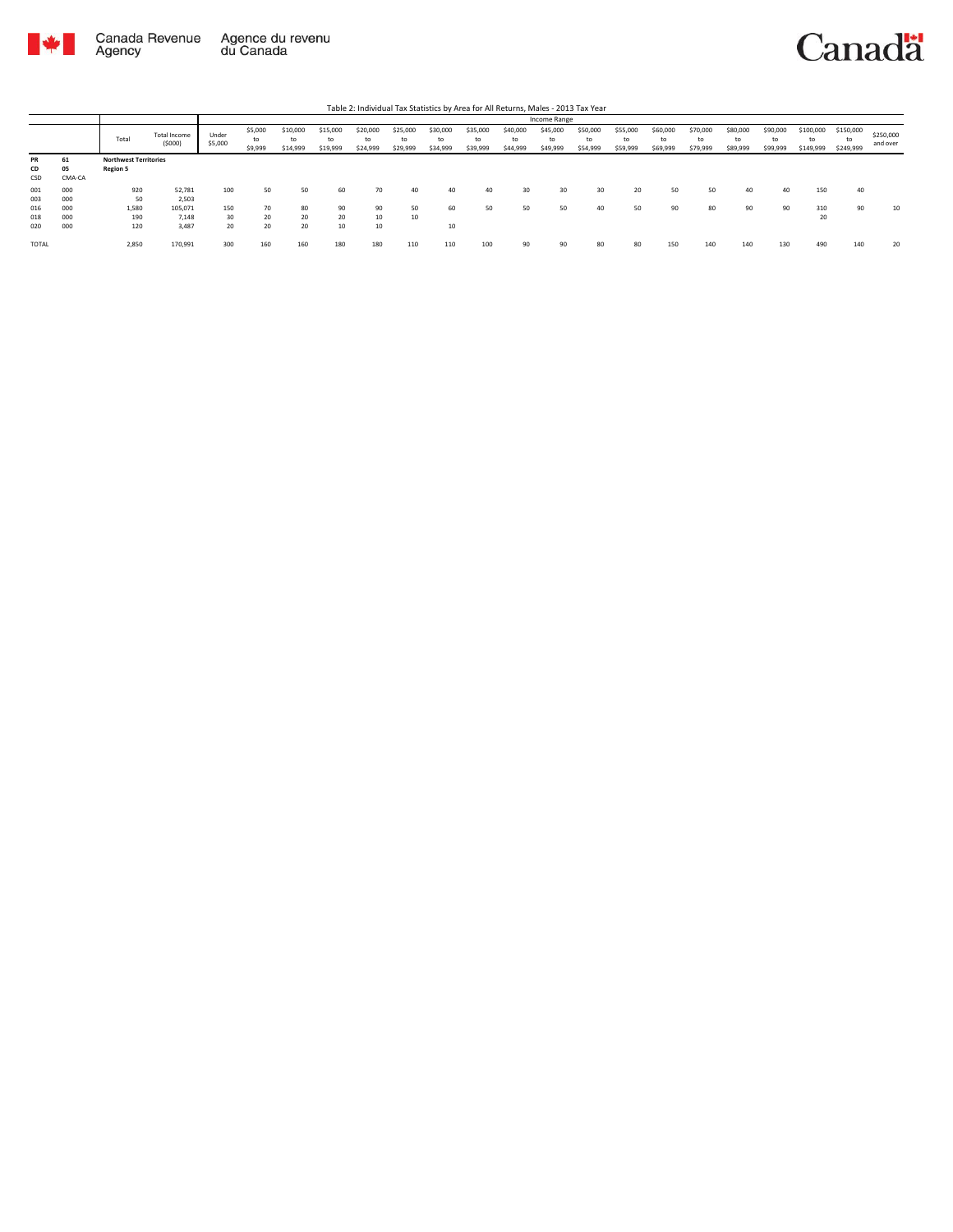

|                     |                    |                                                 |                           |                  |                          |                            |                            |                            |                            |                            |                            |                            | Income Range               |                            |                            |                            |                            |                            |                            |                              |                              |                       |
|---------------------|--------------------|-------------------------------------------------|---------------------------|------------------|--------------------------|----------------------------|----------------------------|----------------------------|----------------------------|----------------------------|----------------------------|----------------------------|----------------------------|----------------------------|----------------------------|----------------------------|----------------------------|----------------------------|----------------------------|------------------------------|------------------------------|-----------------------|
|                     |                    | Total                                           | Total Income<br>(5000)    | Under<br>\$5,000 | \$5,000<br>to<br>\$9,999 | \$10,000<br>to<br>\$14,999 | \$15,000<br>to<br>\$19,999 | \$20,000<br>to<br>\$24,999 | \$25,000<br>to<br>\$29,999 | \$30,000<br>to<br>\$34,999 | \$35,000<br>to<br>\$39,999 | \$40,000<br>to<br>\$44,999 | \$45,000<br>to<br>\$49,999 | \$50,000<br>to<br>\$54,999 | \$55,000<br>to<br>\$59,999 | \$60,000<br>to<br>\$69,999 | \$70,000<br>to<br>\$79,999 | \$80,000<br>to<br>\$89,999 | \$90,000<br>to<br>\$99,999 | \$100,000<br>to<br>\$149,999 | \$150,000<br>to<br>\$249,999 | \$250,000<br>and over |
| PR<br>CD<br>CSD     | 61<br>05<br>CMA-CA | <b>Northwest Territories</b><br><b>Region 5</b> |                           |                  |                          |                            |                            |                            |                            |                            |                            |                            |                            |                            |                            |                            |                            |                            |                            |                              |                              |                       |
| 001                 | 000                | 920                                             | 52,781                    | 100              | 50                       | 50                         | 60                         | 70                         | 40                         | 40                         | 40                         | 30                         | 30                         | 30                         | 20                         | 50                         | 50                         | 40                         | 40                         | 150                          | 40                           |                       |
| 003<br>016<br>018   | 000<br>000<br>000  | 50<br>1,580<br>190                              | 2,503<br>105.071<br>7.148 | 150<br>30        | 70<br>20                 | 80<br>20                   | 90<br>20                   | 90<br>10                   | 50<br>10                   | 60                         | 50                         | 50                         | 50                         | 40                         | 50                         | 90                         | 80                         | 90                         | 90                         | 310<br>20                    | 90                           | 10                    |
| 020<br><b>TOTAL</b> | 000                | 120<br>2,850                                    | 3.487<br>170,991          | 20<br>300        | 20<br>160                | 20<br>160                  | 10<br>180                  | 10<br>180                  | 110                        | 10<br>110                  | 100                        | 90                         | 90                         | 80                         | 80                         | 150                        | 140                        | 140                        | 130                        | 490                          | 140                          | 20                    |